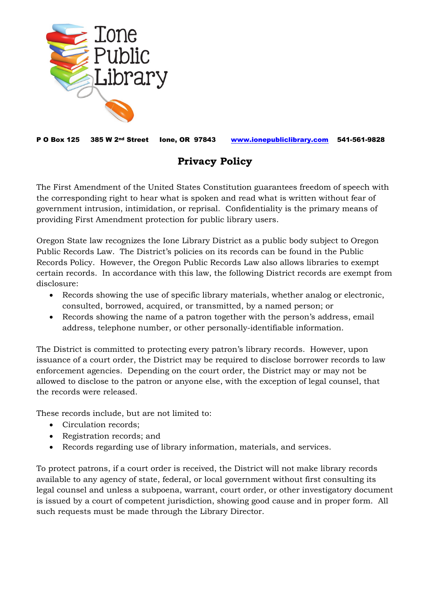

P O Box 125 385 W 2nd Street Ione, OR 97843 [www.ionepubliclibrary.com](http://www.ionepubliclibrary.com/) 541-561-9828

## **Privacy Policy**

The First Amendment of the United States Constitution guarantees freedom of speech with the corresponding right to hear what is spoken and read what is written without fear of government intrusion, intimidation, or reprisal. Confidentiality is the primary means of providing First Amendment protection for public library users.

Oregon State law recognizes the Ione Library District as a public body subject to Oregon Public Records Law. The District's policies on its records can be found in the Public Records Policy. However, the Oregon Public Records Law also allows libraries to exempt certain records. In accordance with this law, the following District records are exempt from disclosure:

- Records showing the use of specific library materials, whether analog or electronic, consulted, borrowed, acquired, or transmitted, by a named person; or
- Records showing the name of a patron together with the person's address, email address, telephone number, or other personally-identifiable information.

The District is committed to protecting every patron's library records. However, upon issuance of a court order, the District may be required to disclose borrower records to law enforcement agencies. Depending on the court order, the District may or may not be allowed to disclose to the patron or anyone else, with the exception of legal counsel, that the records were released.

These records include, but are not limited to:

- Circulation records:
- Registration records; and
- Records regarding use of library information, materials, and services.

To protect patrons, if a court order is received, the District will not make library records available to any agency of state, federal, or local government without first consulting its legal counsel and unless a subpoena, warrant, court order, or other investigatory document is issued by a court of competent jurisdiction, showing good cause and in proper form. All such requests must be made through the Library Director.